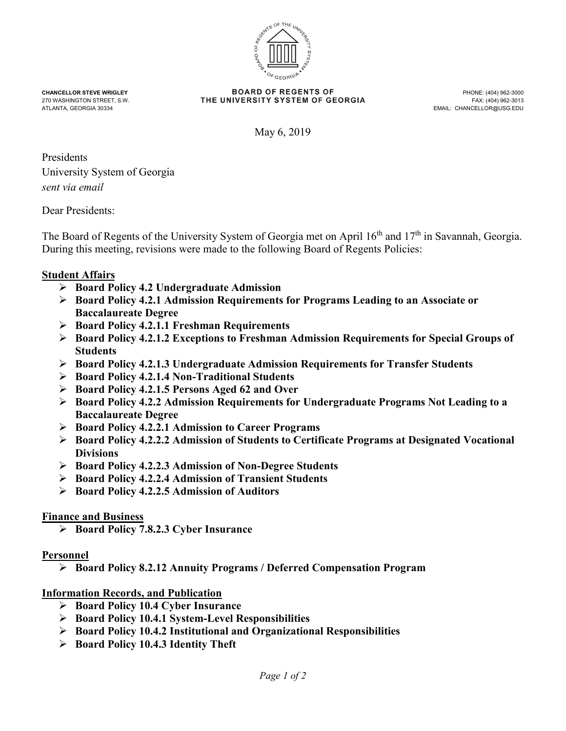

**CHANCELLOR STEVE WRIGLEY CHANCELLOR STEVE WRIGLEY CHANCELLOR STEVE WASHING TO REGENT A STATE UNIVERSITY SYSTEM OF GEORGIA** 270 WASHINGTON STREET, S.W. FAX: THE UNIVERSITY SYSTEM OF GEORGIA<br>ATLANTA, GEORGIA 30334

EMAIL: CHANCELLOR@USG.EDU

May 6, 2019

Presidents University System of Georgia *sent via email*

Dear Presidents:

The Board of Regents of the University System of Georgia met on April 16<sup>th</sup> and 17<sup>th</sup> in Savannah, Georgia. During this meeting, revisions were made to the following Board of Regents Policies:

## **Student Affairs**

- **Board Policy 4.2 Undergraduate Admission**
- **Board Policy 4.2.1 Admission Requirements for Programs Leading to an Associate or Baccalaureate Degree**
- **Board Policy 4.2.1.1 Freshman Requirements**
- **Board Policy 4.2.1.2 Exceptions to Freshman Admission Requirements for Special Groups of Students**
- **Board Policy 4.2.1.3 Undergraduate Admission Requirements for Transfer Students**
- **Board Policy 4.2.1.4 Non-Traditional Students**
- **Board Policy 4.2.1.5 Persons Aged 62 and Over**
- **Board Policy 4.2.2 Admission Requirements for Undergraduate Programs Not Leading to a Baccalaureate Degree**
- **Board Policy 4.2.2.1 Admission to Career Programs**
- **Board Policy 4.2.2.2 Admission of Students to Certificate Programs at Designated Vocational Divisions**
- **Board Policy 4.2.2.3 Admission of Non-Degree Students**
- **Board Policy 4.2.2.4 Admission of Transient Students**
- **Board Policy 4.2.2.5 Admission of Auditors**

## **Finance and Business**

**Board Policy 7.8.2.3 Cyber Insurance**

## **Personnel**

**Board Policy 8.2.12 Annuity Programs / Deferred Compensation Program**

## **Information Records, and Publication**

- **Board Policy 10.4 Cyber Insurance**
- **Board Policy 10.4.1 System-Level Responsibilities**
- **Board Policy 10.4.2 Institutional and Organizational Responsibilities**
- **Board Policy 10.4.3 Identity Theft**